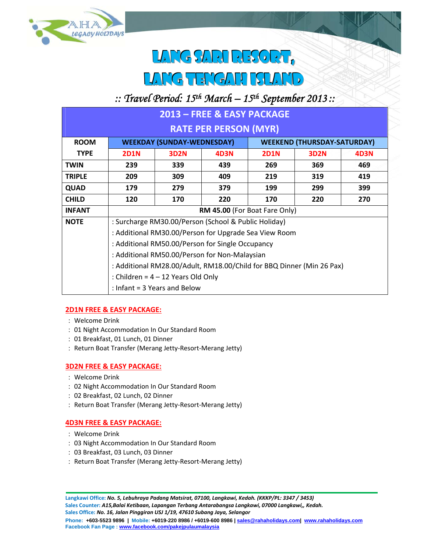

# LANG SARI RESORT, LLAAG<del>TEMGAAHHIIST</del>

## *:: Travel Period: 15th March – 15th September 2013 ::*

| 2013 – FREE & EASY PACKAGE   |                                                                       |             |      |                                    |                  |      |  |  |  |  |
|------------------------------|-----------------------------------------------------------------------|-------------|------|------------------------------------|------------------|------|--|--|--|--|
| <b>RATE PER PERSON (MYR)</b> |                                                                       |             |      |                                    |                  |      |  |  |  |  |
| <b>ROOM</b>                  | <b>WEEKDAY (SUNDAY-WEDNESDAY)</b>                                     |             |      | <b>WEEKEND (THURSDAY-SATURDAY)</b> |                  |      |  |  |  |  |
| <b>TYPE</b>                  | <b>2D1N</b>                                                           | <b>3D2N</b> | 4D3N | <b>2D1N</b>                        | 3D <sub>2N</sub> | 4D3N |  |  |  |  |
| <b>TWIN</b>                  | 239                                                                   | 339         | 439  | 269                                | 369              | 469  |  |  |  |  |
| <b>TRIPLE</b>                | 209                                                                   | 309         | 409  | 219                                | 319              | 419  |  |  |  |  |
| <b>QUAD</b>                  | 179                                                                   | 279         | 379  | 199                                | 299              | 399  |  |  |  |  |
| <b>CHILD</b>                 | 120                                                                   | 170         | 220  | 170                                | 220              | 270  |  |  |  |  |
| <b>INFANT</b>                | RM 45.00 (For Boat Fare Only)                                         |             |      |                                    |                  |      |  |  |  |  |
| <b>NOTE</b>                  | : Surcharge RM30.00/Person (School & Public Holiday)                  |             |      |                                    |                  |      |  |  |  |  |
|                              | : Additional RM30.00/Person for Upgrade Sea View Room                 |             |      |                                    |                  |      |  |  |  |  |
|                              | : Additional RM50.00/Person for Single Occupancy                      |             |      |                                    |                  |      |  |  |  |  |
|                              | : Additional RM50.00/Person for Non-Malaysian                         |             |      |                                    |                  |      |  |  |  |  |
|                              | : Additional RM28.00/Adult, RM18.00/Child for BBQ Dinner (Min 26 Pax) |             |      |                                    |                  |      |  |  |  |  |
|                              | : Children = $4 - 12$ Years Old Only                                  |             |      |                                    |                  |      |  |  |  |  |
|                              | : Infant = $3$ Years and Below                                        |             |      |                                    |                  |      |  |  |  |  |

### **2D1N FREE & EASY PACKAGE:**

- Welcome Drink
- 01 Night Accommodation In Our Standard Room
- 01 Breakfast, 01 Lunch, 01 Dinner
- : Return Boat Transfer (Merang Jetty-Resort-Merang Jetty)

#### **3D2N FREE & EASY PACKAGE:**

- Welcome Drink
- 02 Night Accommodation In Our Standard Room
- 02 Breakfast, 02 Lunch, 02 Dinner
- : Return Boat Transfer (Merang Jetty-Resort-Merang Jetty)

#### **4D3N FREE & EASY PACKAGE:**

- Welcome Drink
- 03 Night Accommodation In Our Standard Room
- 03 Breakfast, 03 Lunch, 03 Dinner
- : Return Boat Transfer (Merang Jetty-Resort-Merang Jetty)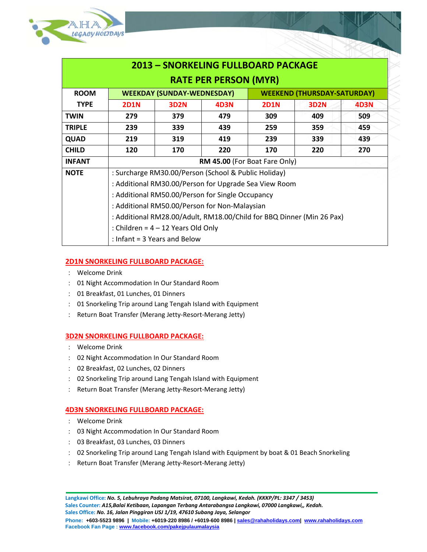

|                              |                                                                                                               |             | <b>2013 - SNORKELING FULLBOARD PACKAGE</b> |                                    |             |             |  |  |  |
|------------------------------|---------------------------------------------------------------------------------------------------------------|-------------|--------------------------------------------|------------------------------------|-------------|-------------|--|--|--|
| <b>RATE PER PERSON (MYR)</b> |                                                                                                               |             |                                            |                                    |             |             |  |  |  |
| <b>ROOM</b>                  | <b>WEEKDAY (SUNDAY-WEDNESDAY)</b>                                                                             |             |                                            | <b>WEEKEND (THURSDAY-SATURDAY)</b> |             |             |  |  |  |
| <b>TYPE</b>                  | <b>2D1N</b>                                                                                                   | <b>3D2N</b> | <b>4D3N</b>                                | <b>2D1N</b>                        | <b>3D2N</b> | <b>4D3N</b> |  |  |  |
| <b>TWIN</b>                  | 279                                                                                                           | 379         | 479                                        | 309                                | 409         | 509         |  |  |  |
| <b>TRIPLE</b>                | 239                                                                                                           | 339         | 439                                        | 259                                | 359         | 459         |  |  |  |
| <b>QUAD</b>                  | 219                                                                                                           | 319         | 419                                        | 239                                | 339         | 439         |  |  |  |
| <b>CHILD</b>                 | 120                                                                                                           | 170         | 220                                        | 170                                | 220         | 270         |  |  |  |
| <b>INFANT</b>                | RM 45.00 (For Boat Fare Only)                                                                                 |             |                                            |                                    |             |             |  |  |  |
| <b>NOTE</b>                  | : Surcharge RM30.00/Person (School & Public Holiday)                                                          |             |                                            |                                    |             |             |  |  |  |
|                              | : Additional RM30.00/Person for Upgrade Sea View Room                                                         |             |                                            |                                    |             |             |  |  |  |
|                              | : Additional RM50.00/Person for Single Occupancy                                                              |             |                                            |                                    |             |             |  |  |  |
|                              | : Additional RM50.00/Person for Non-Malaysian                                                                 |             |                                            |                                    |             |             |  |  |  |
|                              | : Additional RM28.00/Adult, RM18.00/Child for BBQ Dinner (Min 26 Pax)<br>: Children = $4 - 12$ Years Old Only |             |                                            |                                    |             |             |  |  |  |
|                              |                                                                                                               |             |                                            |                                    |             |             |  |  |  |
|                              | : Infant = $3$ Years and Below                                                                                |             |                                            |                                    |             |             |  |  |  |

#### **2D1N SNORKELING FULLBOARD PACKAGE:**

- Welcome Drink
- 01 Night Accommodation In Our Standard Room
- 01 Breakfast, 01 Lunches, 01 Dinners
- 01 Snorkeling Trip around Lang Tengah Island with Equipment
- Return Boat Transfer (Merang Jetty‐Resort‐Merang Jetty)

#### **3D2N SNORKELING FULLBOARD PACKAGE:**

- Welcome Drink
- 02 Night Accommodation In Our Standard Room
- 02 Breakfast, 02 Lunches, 02 Dinners
- 02 Snorkeling Trip around Lang Tengah Island with Equipment
- Return Boat Transfer (Merang Jetty‐Resort‐Merang Jetty)

#### **4D3N SNORKELING FULLBOARD PACKAGE:**

- Welcome Drink
- 03 Night Accommodation In Our Standard Room
- 03 Breakfast, 03 Lunches, 03 Dinners
- 02 Snorkeling Trip around Lang Tengah Island with Equipment by boat & 01 Beach Snorkeling
- : Return Boat Transfer (Merang Jetty-Resort-Merang Jetty)